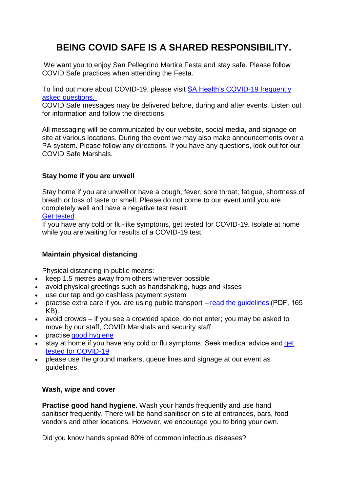# **BEING COVID SAFE IS A SHARED RESPONSIBILITY.**

We want you to enjoy San Pellegrino Martire Festa and stay safe. Please follow COVID Safe practices when attending the Festa.

To find out more about COVID-19, please visit SA Health's [COVID-19 frequently](https://www.sahealth.sa.gov.au/wps/wcm/connect/public+content/sa+health+internet/conditions/infectious+diseases/covid-19/about+covid-19/frequently+asked+questions/covid-19+frequently+asked+questions)  [asked questions.](https://www.sahealth.sa.gov.au/wps/wcm/connect/public+content/sa+health+internet/conditions/infectious+diseases/covid-19/about+covid-19/frequently+asked+questions/covid-19+frequently+asked+questions)

COVID Safe messages may be delivered before, during and after events. Listen out for information and follow the directions.

All messaging will be communicated by our website, social media, and signage on site at various locations. During the event we may also make announcements over a PA system. Please follow any directions. If you have any questions, look out for our COVID Safe Marshals.

## **Stay home if you are unwell**

Stay home if you are unwell or have a cough, fever, sore throat, fatigue, shortness of breath or loss of taste or smell. Please do not come to our event until you are completely well and have a negative test result. Get [tested](https://www.sahealth.sa.gov.au/wps/wcm/connect/public+content/sa+health+internet/conditions/infectious+diseases/covid-19/testing+and+tracing)

If you have any cold or flu-like symptoms, get tested for COVID-19. Isolate at home while you are waiting for results of a COVID-19 test.

# **Maintain physical distancing**

Physical distancing in public means:

- keep 1.5 metres away from others wherever possible
- avoid physical greetings such as handshaking, hugs and kisses
- use our tap and go cashless payment system
- practise extra care if you are using public transport read the [guidelines](https://www.infrastructure.gov.au/transport/files/covid19_public_transport_principles_29052020.pdf)(PDF, 165 KB).
- avoid crowds if you see a crowded space, do not enter; you may be asked to move by our staff, COVID Marshals and security staff
- practise good [hygiene](https://www.health.gov.au/news/health-alerts/novel-coronavirus-2019-ncov-health-alert/how-to-protect-yourself-and-others-from-coronavirus-covid-19/good-hygiene-for-coronavirus-covid-19)
- stay at home if you have any cold or flu symptoms. Seek medical advice and get tested for [COVID-19](https://www.health.gov.au/news/health-alerts/novel-coronavirus-2019-ncov-health-alert/what-you-need-to-know-about-coronavirus-covid-19#testing)
- please use the ground markers, queue lines and signage at our event as guidelines.

## **Wash, wipe and cover**

**Practise good hand hygiene.** Wash your hands frequently and use hand sanitiser frequently. There will be hand sanitiser on site at entrances, bars, food vendors and other locations. However, we encourage you to bring your own.

Did you know hands spread 80% of common infectious diseases?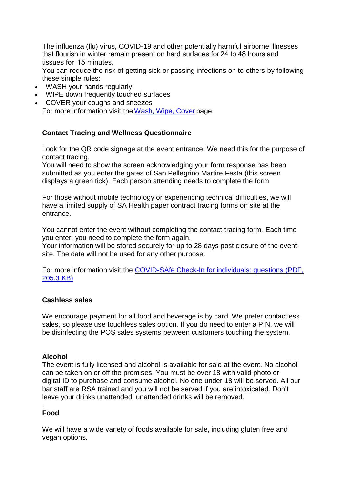The influenza (flu) virus, COVID-19 and other potentially harmful airborne illnesses that flourish in winter remain present on hard surfaces for 24 to 48 hours and tissues for  15 minutes.

You can reduce the risk of getting sick or passing infections on to others by following these simple rules:

- WASH your hands regularly
- WIPE down frequently touched surfaces
- COVER your coughs and sneezes For more information visit the[Wash,](https://www.sahealth.sa.gov.au/wps/wcm/connect/public+content/sa+health+internet/healthy+living/protecting+your+health/preventing+disease+and+infection/wash+wipe+cover/wash+wipe+cover+tips) Wipe, Cover page.

## **Contact Tracing and Wellness Questionnaire**

Look for the QR code signage at the event entrance. We need this for the purpose of contact tracing.

You will need to show the screen acknowledging your form response has been submitted as you enter the gates of San Pellegrino Martire Festa (this screen displays a green tick). Each person attending needs to complete the form

For those without mobile technology or experiencing technical difficulties, we will have a limited supply of SA Health paper contract tracing forms on site at the entrance.

You cannot enter the event without completing the contact tracing form. Each time you enter, you need to complete the form again.

Your information will be stored securely for up to 28 days post closure of the event site. The data will not be used for any other purpose.

For more information visit the [COVID-SAfe Check-In for individuals: questions \(PDF,](https://www.covid-19.sa.gov.au/__data/assets/pdf_file/0004/329413/20201224-COVID-SAfe-Check-In-FAQs-for-Individuals-FINAL.pdf)  [205.3 KB\)](https://www.covid-19.sa.gov.au/__data/assets/pdf_file/0004/329413/20201224-COVID-SAfe-Check-In-FAQs-for-Individuals-FINAL.pdf)

#### **Cashless sales**

We encourage payment for all food and beverage is by card. We prefer contactless sales, so please use touchless sales option. If you do need to enter a PIN, we will be disinfecting the POS sales systems between customers touching the system.

#### **Alcohol**

The event is fully licensed and alcohol is available for sale at the event. No alcohol can be taken on or off the premises. You must be over 18 with valid photo or digital ID to purchase and consume alcohol. No one under 18 will be served. All our bar staff are RSA trained and you will not be served if you are intoxicated. Don't leave your drinks unattended; unattended drinks will be removed.

#### **Food**

.

We will have a wide variety of foods available for sale, including gluten free and vegan options.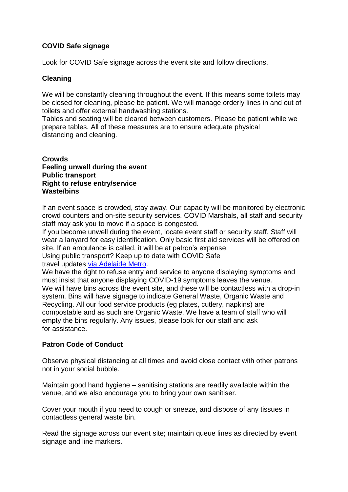# **COVID Safe signage**

Look for COVID Safe signage across the event site and follow directions.

## **Cleaning**

We will be constantly cleaning throughout the event. If this means some toilets may be closed for cleaning, please be patient. We will manage orderly lines in and out of toilets and offer external handwashing stations.

Tables and seating will be cleared between customers. Please be patient while we prepare tables. All of these measures are to ensure adequate physical distancing and cleaning.

#### **Crowds Feeling unwell during the event Public transport Right to refuse entry/service Waste/bins**

If an event space is crowded, stay away. Our capacity will be monitored by electronic crowd counters and on-site security services. COVID Marshals, all staff and security staff may ask you to move if a space is congested.

If you become unwell during the event, locate event staff or security staff. Staff will wear a lanyard for easy identification. Only basic first aid services will be offered on site. If an ambulance is called, it will be at patron's expense.

Using public transport? Keep up to date with COVID Safe travel updates via [Adelaide](https://adelaidemetro.com.au/Announcements2/News) Metro.

We have the right to refuse entry and service to anyone displaying symptoms and must insist that anyone displaying COVID-19 symptoms leaves the venue. We will have bins across the event site, and these will be contactless with a drop-in system. Bins will have signage to indicate General Waste, Organic Waste and Recycling. All our food service products (eg plates, cutlery, napkins) are compostable and as such are Organic Waste. We have a team of staff who will empty the bins regularly. Any issues, please look for our staff and ask for assistance.

# **Patron Code of Conduct**

Observe physical distancing at all times and avoid close contact with other patrons not in your social bubble.

Maintain good hand hygiene – sanitising stations are readily available within the venue, and we also encourage you to bring your own sanitiser.

Cover your mouth if you need to cough or sneeze, and dispose of any tissues in contactless general waste bin.

Read the signage across our event site; maintain queue lines as directed by event signage and line markers.